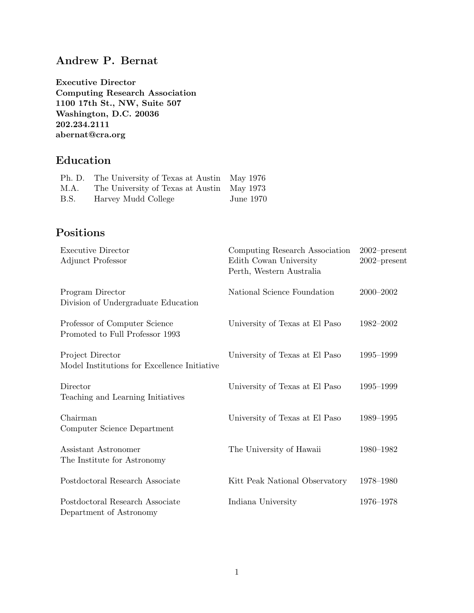## Andrew P. Bernat

Executive Director Computing Research Association 1100 17th St., NW, Suite 507 Washington, D.C. 20036 202.234.2111 abernat@cra.org

# Education

|      | Ph. D. The University of Texas at Austin May 1976 |                  |
|------|---------------------------------------------------|------------------|
| М.А. | The University of Texas at Austin May 1973        |                  |
| B.S. | Harvey Mudd College                               | <b>June 1970</b> |

# Positions

| <b>Executive Director</b><br>Adjunct Professor                   | Computing Research Association<br>Edith Cowan University<br>Perth, Western Australia | $2002$ -present<br>$2002$ -present |
|------------------------------------------------------------------|--------------------------------------------------------------------------------------|------------------------------------|
| Program Director<br>Division of Undergraduate Education          | National Science Foundation                                                          | $2000 - 2002$                      |
| Professor of Computer Science<br>Promoted to Full Professor 1993 | University of Texas at El Paso                                                       | 1982-2002                          |
| Project Director<br>Model Institutions for Excellence Initiative | University of Texas at El Paso                                                       | 1995-1999                          |
| Director<br>Teaching and Learning Initiatives                    | University of Texas at El Paso                                                       | 1995-1999                          |
| Chairman<br>Computer Science Department                          | University of Texas at El Paso                                                       | 1989-1995                          |
| Assistant Astronomer<br>The Institute for Astronomy              | The University of Hawaii                                                             | 1980-1982                          |
| Postdoctoral Research Associate                                  | Kitt Peak National Observatory                                                       | 1978-1980                          |
| Postdoctoral Research Associate<br>Department of Astronomy       | Indiana University                                                                   | 1976-1978                          |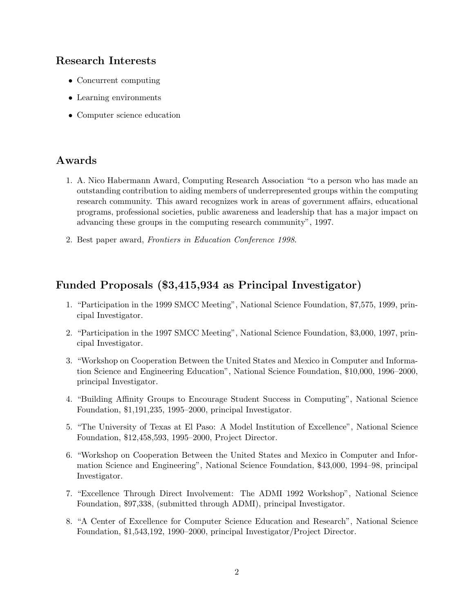## Research Interests

- Concurrent computing
- Learning environments
- Computer science education

## Awards

- 1. A. Nico Habermann Award, Computing Research Association "to a person who has made an outstanding contribution to aiding members of underrepresented groups within the computing research community. This award recognizes work in areas of government affairs, educational programs, professional societies, public awareness and leadership that has a major impact on advancing these groups in the computing research community", 1997.
- 2. Best paper award, Frontiers in Education Conference 1998.

## Funded Proposals (\$3,415,934 as Principal Investigator)

- 1. "Participation in the 1999 SMCC Meeting", National Science Foundation, \$7,575, 1999, principal Investigator.
- 2. "Participation in the 1997 SMCC Meeting", National Science Foundation, \$3,000, 1997, principal Investigator.
- 3. "Workshop on Cooperation Between the United States and Mexico in Computer and Information Science and Engineering Education", National Science Foundation, \$10,000, 1996–2000, principal Investigator.
- 4. "Building Affinity Groups to Encourage Student Success in Computing", National Science Foundation, \$1,191,235, 1995–2000, principal Investigator.
- 5. "The University of Texas at El Paso: A Model Institution of Excellence", National Science Foundation, \$12,458,593, 1995–2000, Project Director.
- 6. "Workshop on Cooperation Between the United States and Mexico in Computer and Information Science and Engineering", National Science Foundation, \$43,000, 1994–98, principal Investigator.
- 7. "Excellence Through Direct Involvement: The ADMI 1992 Workshop", National Science Foundation, \$97,338, (submitted through ADMI), principal Investigator.
- 8. "A Center of Excellence for Computer Science Education and Research", National Science Foundation, \$1,543,192, 1990–2000, principal Investigator/Project Director.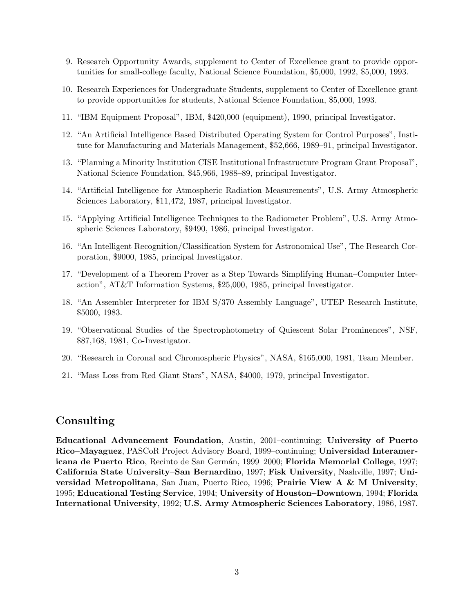- 9. Research Opportunity Awards, supplement to Center of Excellence grant to provide opportunities for small-college faculty, National Science Foundation, \$5,000, 1992, \$5,000, 1993.
- 10. Research Experiences for Undergraduate Students, supplement to Center of Excellence grant to provide opportunities for students, National Science Foundation, \$5,000, 1993.
- 11. "IBM Equipment Proposal", IBM, \$420,000 (equipment), 1990, principal Investigator.
- 12. "An Artificial Intelligence Based Distributed Operating System for Control Purposes", Institute for Manufacturing and Materials Management, \$52,666, 1989–91, principal Investigator.
- 13. "Planning a Minority Institution CISE Institutional Infrastructure Program Grant Proposal", National Science Foundation, \$45,966, 1988–89, principal Investigator.
- 14. "Artificial Intelligence for Atmospheric Radiation Measurements", U.S. Army Atmospheric Sciences Laboratory, \$11,472, 1987, principal Investigator.
- 15. "Applying Artificial Intelligence Techniques to the Radiometer Problem", U.S. Army Atmospheric Sciences Laboratory, \$9490, 1986, principal Investigator.
- 16. "An Intelligent Recognition/Classification System for Astronomical Use", The Research Corporation, \$9000, 1985, principal Investigator.
- 17. "Development of a Theorem Prover as a Step Towards Simplifying Human–Computer Interaction", AT&T Information Systems, \$25,000, 1985, principal Investigator.
- 18. "An Assembler Interpreter for IBM S/370 Assembly Language", UTEP Research Institute, \$5000, 1983.
- 19. "Observational Studies of the Spectrophotometry of Quiescent Solar Prominences", NSF, \$87,168, 1981, Co-Investigator.
- 20. "Research in Coronal and Chromospheric Physics", NASA, \$165,000, 1981, Team Member.
- 21. "Mass Loss from Red Giant Stars", NASA, \$4000, 1979, principal Investigator.

### Consulting

Educational Advancement Foundation, Austin, 2001–continuing; University of Puerto Rico–Mayaguez, PASCoR Project Advisory Board, 1999–continuing; Universidad Interamericana de Puerto Rico, Recinto de San Germán, 1999–2000; Florida Memorial College, 1997; California State University–San Bernardino, 1997; Fisk University, Nashville, 1997; Universidad Metropolitana, San Juan, Puerto Rico, 1996; Prairie View A & M University, 1995; Educational Testing Service, 1994; University of Houston–Downtown, 1994; Florida International University, 1992; U.S. Army Atmospheric Sciences Laboratory, 1986, 1987.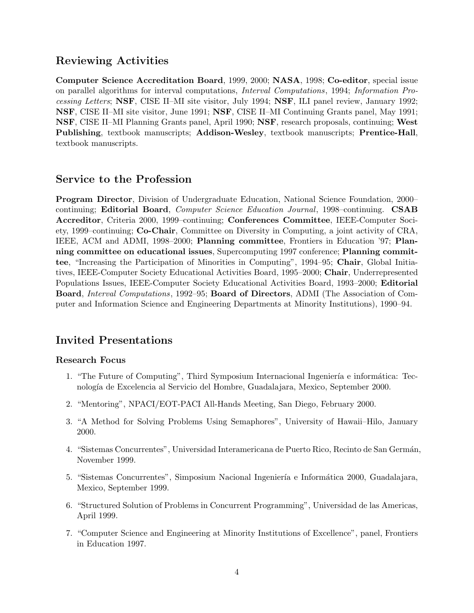### Reviewing Activities

Computer Science Accreditation Board, 1999, 2000; NASA, 1998; Co-editor, special issue on parallel algorithms for interval computations, Interval Computations, 1994; Information Processing Letters; NSF, CISE II–MI site visitor, July 1994; NSF, ILI panel review, January 1992; NSF, CISE II–MI site visitor, June 1991; NSF, CISE II–MI Continuing Grants panel, May 1991; NSF, CISE II–MI Planning Grants panel, April 1990; NSF, research proposals, continuing; West Publishing, textbook manuscripts; Addison-Wesley, textbook manuscripts; Prentice-Hall, textbook manuscripts.

### Service to the Profession

Program Director, Division of Undergraduate Education, National Science Foundation, 2000– continuing; **Editorial Board**, *Computer Science Education Journal*, 1998–continuing. **CSAB** Accreditor, Criteria 2000, 1999–continuing; Conferences Committee, IEEE-Computer Society, 1999–continuing; Co-Chair, Committee on Diversity in Computing, a joint activity of CRA, IEEE, ACM and ADMI, 1998–2000; Planning committee, Frontiers in Education '97; Planning committee on educational issues, Supercomputing 1997 conference; Planning committee, "Increasing the Participation of Minorities in Computing", 1994–95; Chair, Global Initiatives, IEEE-Computer Society Educational Activities Board, 1995–2000; Chair, Underrepresented Populations Issues, IEEE-Computer Society Educational Activities Board, 1993–2000; Editorial Board, Interval Computations, 1992–95; Board of Directors, ADMI (The Association of Computer and Information Science and Engineering Departments at Minority Institutions), 1990–94.

## Invited Presentations

### Research Focus

- 1. "The Future of Computing", Third Symposium Internacional Ingeniería e informática: Tecnolog´ıa de Excelencia al Servicio del Hombre, Guadalajara, Mexico, September 2000.
- 2. "Mentoring", NPACI/EOT-PACI All-Hands Meeting, San Diego, February 2000.
- 3. "A Method for Solving Problems Using Semaphores", University of Hawaii–Hilo, January 2000.
- 4. "Sistemas Concurrentes", Universidad Interamericana de Puerto Rico, Recinto de San Germán, November 1999.
- 5. "Sistemas Concurrentes", Simposium Nacional Ingeniería e Informática 2000, Guadalajara, Mexico, September 1999.
- 6. "Structured Solution of Problems in Concurrent Programming", Universidad de las Americas, April 1999.
- 7. "Computer Science and Engineering at Minority Institutions of Excellence", panel, Frontiers in Education 1997.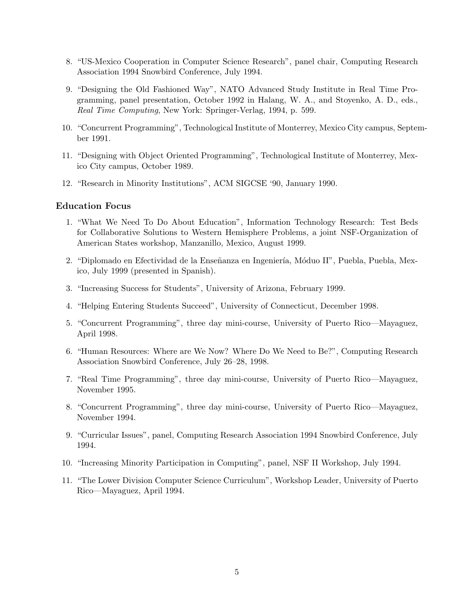- 8. "US-Mexico Cooperation in Computer Science Research", panel chair, Computing Research Association 1994 Snowbird Conference, July 1994.
- 9. "Designing the Old Fashioned Way", NATO Advanced Study Institute in Real Time Programming, panel presentation, October 1992 in Halang, W. A., and Stoyenko, A. D., eds., Real Time Computing, New York: Springer-Verlag, 1994, p. 599.
- 10. "Concurrent Programming", Technological Institute of Monterrey, Mexico City campus, September 1991.
- 11. "Designing with Object Oriented Programming", Technological Institute of Monterrey, Mexico City campus, October 1989.
- 12. "Research in Minority Institutions", ACM SIGCSE '90, January 1990.

### Education Focus

- 1. "What We Need To Do About Education", Information Technology Research: Test Beds for Collaborative Solutions to Western Hemisphere Problems, a joint NSF-Organization of American States workshop, Manzanillo, Mexico, August 1999.
- 2. "Diplomado en Efectividad de la Enseñanza en Ingeniería, Móduo II", Puebla, Puebla, Mexico, July 1999 (presented in Spanish).
- 3. "Increasing Success for Students", University of Arizona, February 1999.
- 4. "Helping Entering Students Succeed", University of Connecticut, December 1998.
- 5. "Concurrent Programming", three day mini-course, University of Puerto Rico—Mayaguez, April 1998.
- 6. "Human Resources: Where are We Now? Where Do We Need to Be?", Computing Research Association Snowbird Conference, July 26–28, 1998.
- 7. "Real Time Programming", three day mini-course, University of Puerto Rico—Mayaguez, November 1995.
- 8. "Concurrent Programming", three day mini-course, University of Puerto Rico—Mayaguez, November 1994.
- 9. "Curricular Issues", panel, Computing Research Association 1994 Snowbird Conference, July 1994.
- 10. "Increasing Minority Participation in Computing", panel, NSF II Workshop, July 1994.
- 11. "The Lower Division Computer Science Curriculum", Workshop Leader, University of Puerto Rico—Mayaguez, April 1994.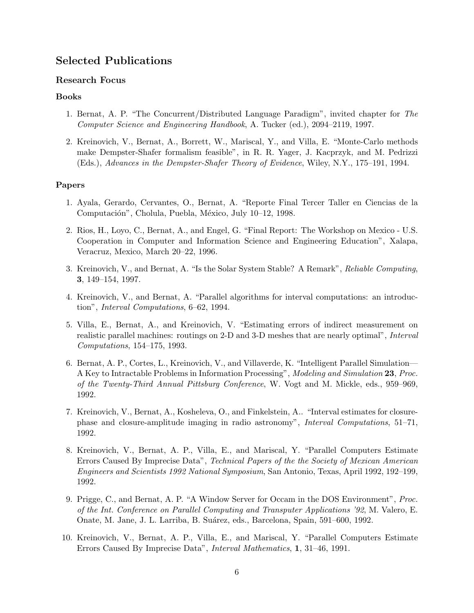## Selected Publications

### Research Focus

### Books

- 1. Bernat, A. P. "The Concurrent/Distributed Language Paradigm", invited chapter for The Computer Science and Engineering Handbook, A. Tucker (ed.), 2094–2119, 1997.
- 2. Kreinovich, V., Bernat, A., Borrett, W., Mariscal, Y., and Villa, E. "Monte-Carlo methods make Dempster-Shafer formalism feasible", in R. R. Yager, J. Kacprzyk, and M. Pedrizzi (Eds.), Advances in the Dempster-Shafer Theory of Evidence, Wiley, N.Y., 175–191, 1994.

#### Papers

- 1. Ayala, Gerardo, Cervantes, O., Bernat, A. "Reporte Final Tercer Taller en Ciencias de la Computación", Cholula, Puebla, México, July 10–12, 1998.
- 2. Rios, H., Loyo, C., Bernat, A., and Engel, G. "Final Report: The Workshop on Mexico U.S. Cooperation in Computer and Information Science and Engineering Education", Xalapa, Veracruz, Mexico, March 20–22, 1996.
- 3. Kreinovich, V., and Bernat, A. "Is the Solar System Stable? A Remark", Reliable Computing, 3, 149–154, 1997.
- 4. Kreinovich, V., and Bernat, A. "Parallel algorithms for interval computations: an introduction", Interval Computations, 6–62, 1994.
- 5. Villa, E., Bernat, A., and Kreinovich, V. "Estimating errors of indirect measurement on realistic parallel machines: routings on 2-D and 3-D meshes that are nearly optimal", Interval Computations, 154–175, 1993.
- 6. Bernat, A. P., Cortes, L., Kreinovich, V., and Villaverde, K. "Intelligent Parallel Simulation— A Key to Intractable Problems in Information Processing", Modeling and Simulation 23, Proc. of the Twenty-Third Annual Pittsburg Conference, W. Vogt and M. Mickle, eds., 959–969, 1992.
- 7. Kreinovich, V., Bernat, A., Kosheleva, O., and Finkelstein, A.. "Interval estimates for closurephase and closure-amplitude imaging in radio astronomy", Interval Computations, 51–71, 1992.
- 8. Kreinovich, V., Bernat, A. P., Villa, E., and Mariscal, Y. "Parallel Computers Estimate Errors Caused By Imprecise Data", Technical Papers of the the Society of Mexican American Engineers and Scientists 1992 National Symposium, San Antonio, Texas, April 1992, 192–199, 1992.
- 9. Prigge, C., and Bernat, A. P. "A Window Server for Occam in the DOS Environment", Proc. of the Int. Conference on Parallel Computing and Transputer Applications '92, M. Valero, E. Onate, M. Jane, J. L. Larriba, B. Su´arez, eds., Barcelona, Spain, 591–600, 1992.
- 10. Kreinovich, V., Bernat, A. P., Villa, E., and Mariscal, Y. "Parallel Computers Estimate Errors Caused By Imprecise Data", Interval Mathematics, 1, 31–46, 1991.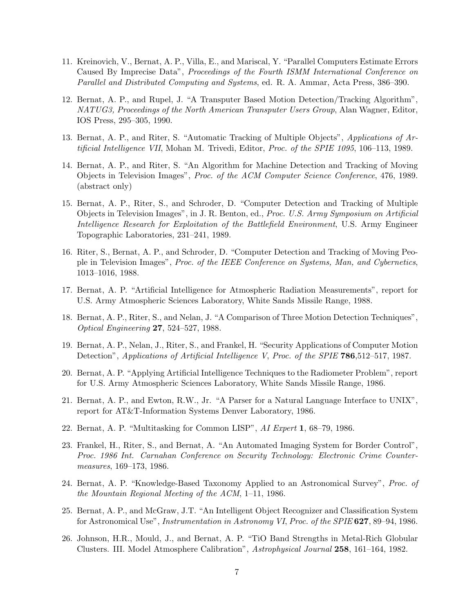- 11. Kreinovich, V., Bernat, A. P., Villa, E., and Mariscal, Y. "Parallel Computers Estimate Errors Caused By Imprecise Data", Proceedings of the Fourth ISMM International Conference on Parallel and Distributed Computing and Systems, ed. R. A. Ammar, Acta Press, 386–390.
- 12. Bernat, A. P., and Rupel, J. "A Transputer Based Motion Detection/Tracking Algorithm", NATUG3, Proceedings of the North American Transputer Users Group, Alan Wagner, Editor, IOS Press, 295–305, 1990.
- 13. Bernat, A. P., and Riter, S. "Automatic Tracking of Multiple Objects", Applications of Artificial Intelligence VII, Mohan M. Trivedi, Editor, Proc. of the SPIE 1095, 106–113, 1989.
- 14. Bernat, A. P., and Riter, S. "An Algorithm for Machine Detection and Tracking of Moving Objects in Television Images", Proc. of the ACM Computer Science Conference, 476, 1989. (abstract only)
- 15. Bernat, A. P., Riter, S., and Schroder, D. "Computer Detection and Tracking of Multiple Objects in Television Images", in J. R. Benton, ed., Proc. U.S. Army Symposium on Artificial Intelligence Research for Exploitation of the Battlefield Environment, U.S. Army Engineer Topographic Laboratories, 231–241, 1989.
- 16. Riter, S., Bernat, A. P., and Schroder, D. "Computer Detection and Tracking of Moving People in Television Images", Proc. of the IEEE Conference on Systems, Man, and Cybernetics, 1013–1016, 1988.
- 17. Bernat, A. P. "Artificial Intelligence for Atmospheric Radiation Measurements", report for U.S. Army Atmospheric Sciences Laboratory, White Sands Missile Range, 1988.
- 18. Bernat, A. P., Riter, S., and Nelan, J. "A Comparison of Three Motion Detection Techniques", Optical Engineering 27, 524–527, 1988.
- 19. Bernat, A. P., Nelan, J., Riter, S., and Frankel, H. "Security Applications of Computer Motion Detection", Applications of Artificial Intelligence V, Proc. of the SPIE **786**,512–517, 1987.
- 20. Bernat, A. P. "Applying Artificial Intelligence Techniques to the Radiometer Problem", report for U.S. Army Atmospheric Sciences Laboratory, White Sands Missile Range, 1986.
- 21. Bernat, A. P., and Ewton, R.W., Jr. "A Parser for a Natural Language Interface to UNIX", report for AT&T-Information Systems Denver Laboratory, 1986.
- 22. Bernat, A. P. "Multitasking for Common LISP", AI Expert 1, 68–79, 1986.
- 23. Frankel, H., Riter, S., and Bernat, A. "An Automated Imaging System for Border Control", Proc. 1986 Int. Carnahan Conference on Security Technology: Electronic Crime Countermeasures, 169–173, 1986.
- 24. Bernat, A. P. "Knowledge-Based Taxonomy Applied to an Astronomical Survey", Proc. of the Mountain Regional Meeting of the ACM, 1–11, 1986.
- 25. Bernat, A. P., and McGraw, J.T. "An Intelligent Object Recognizer and Classification System for Astronomical Use", Instrumentation in Astronomy VI, Proc. of the SPIE 627, 89–94, 1986.
- 26. Johnson, H.R., Mould, J., and Bernat, A. P. "TiO Band Strengths in Metal-Rich Globular Clusters. III. Model Atmosphere Calibration", Astrophysical Journal 258, 161–164, 1982.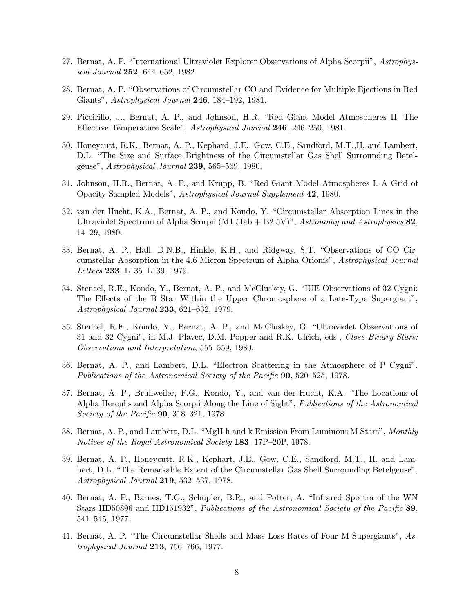- 27. Bernat, A. P. "International Ultraviolet Explorer Observations of Alpha Scorpii", Astrophysical Journal 252, 644–652, 1982.
- 28. Bernat, A. P. "Observations of Circumstellar CO and Evidence for Multiple Ejections in Red Giants", Astrophysical Journal 246, 184–192, 1981.
- 29. Piccirillo, J., Bernat, A. P., and Johnson, H.R. "Red Giant Model Atmospheres II. The Effective Temperature Scale", Astrophysical Journal 246, 246–250, 1981.
- 30. Honeycutt, R.K., Bernat, A. P., Kephard, J.E., Gow, C.E., Sandford, M.T.,II, and Lambert, D.L. "The Size and Surface Brightness of the Circumstellar Gas Shell Surrounding Betelgeuse", Astrophysical Journal 239, 565–569, 1980.
- 31. Johnson, H.R., Bernat, A. P., and Krupp, B. "Red Giant Model Atmospheres I. A Grid of Opacity Sampled Models", Astrophysical Journal Supplement 42, 1980.
- 32. van der Hucht, K.A., Bernat, A. P., and Kondo, Y. "Circumstellar Absorption Lines in the Ultraviolet Spectrum of Alpha Scorpii (M1.5Iab + B2.5V)", Astronomy and Astrophysics  $82$ , 14–29, 1980.
- 33. Bernat, A. P., Hall, D.N.B., Hinkle, K.H., and Ridgway, S.T. "Observations of CO Circumstellar Absorption in the 4.6 Micron Spectrum of Alpha Orionis", Astrophysical Journal Letters 233, L135–L139, 1979.
- 34. Stencel, R.E., Kondo, Y., Bernat, A. P., and McCluskey, G. "IUE Observations of 32 Cygni: The Effects of the B Star Within the Upper Chromosphere of a Late-Type Supergiant", Astrophysical Journal 233, 621–632, 1979.
- 35. Stencel, R.E., Kondo, Y., Bernat, A. P., and McCluskey, G. "Ultraviolet Observations of 31 and 32 Cygni", in M.J. Plavec, D.M. Popper and R.K. Ulrich, eds., *Close Binary Stars:* Observations and Interpretation, 555–559, 1980.
- 36. Bernat, A. P., and Lambert, D.L. "Electron Scattering in the Atmosphere of P Cygni", Publications of the Astronomical Society of the Pacific 90, 520–525, 1978.
- 37. Bernat, A. P., Bruhweiler, F.G., Kondo, Y., and van der Hucht, K.A. "The Locations of Alpha Herculis and Alpha Scorpii Along the Line of Sight", Publications of the Astronomical Society of the Pacific 90, 318–321, 1978.
- 38. Bernat, A. P., and Lambert, D.L. "MgII h and k Emission From Luminous M Stars", Monthly Notices of the Royal Astronomical Society 183, 17P–20P, 1978.
- 39. Bernat, A. P., Honeycutt, R.K., Kephart, J.E., Gow, C.E., Sandford, M.T., II, and Lambert, D.L. "The Remarkable Extent of the Circumstellar Gas Shell Surrounding Betelgeuse", Astrophysical Journal 219, 532–537, 1978.
- 40. Bernat, A. P., Barnes, T.G., Schupler, B.R., and Potter, A. "Infrared Spectra of the WN Stars HD50896 and HD151932", Publications of the Astronomical Society of the Pacific 89, 541–545, 1977.
- 41. Bernat, A. P. "The Circumstellar Shells and Mass Loss Rates of Four M Supergiants", Astrophysical Journal  $213$ , 756–766, 1977.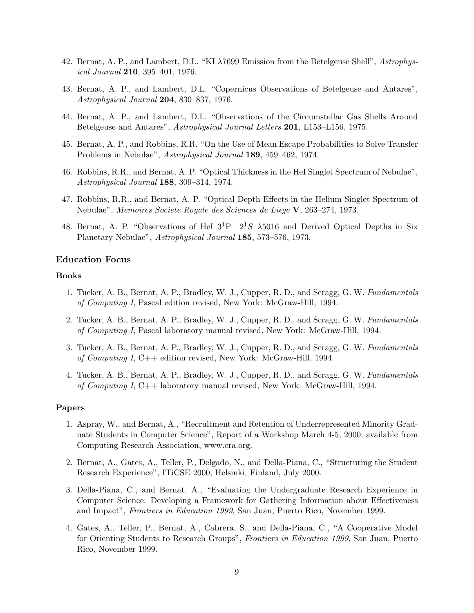- 42. Bernat, A. P., and Lambert, D.L. "KI λ7699 Emission from the Betelgeuse Shell", Astrophysical Journal 210, 395–401, 1976.
- 43. Bernat, A. P., and Lambert, D.L. "Copernicus Observations of Betelgeuse and Antares", Astrophysical Journal 204, 830–837, 1976.
- 44. Bernat, A. P., and Lambert, D.L. "Observations of the Circumstellar Gas Shells Around Betelgeuse and Antares", Astrophysical Journal Letters 201, L153–L156, 1975.
- 45. Bernat, A. P., and Robbins, R.R. "On the Use of Mean Escape Probabilities to Solve Transfer Problems in Nebulae", Astrophysical Journal 189, 459–462, 1974.
- 46. Robbins, R.R., and Bernat, A. P. "Optical Thickness in the HeI Singlet Spectrum of Nebulae", Astrophysical Journal 188, 309–314, 1974.
- 47. Robbins, R.R., and Bernat, A. P. "Optical Depth Effects in the Helium Singlet Spectrum of Nebulae", Memoires Societe Royale des Sciences de Liege V, 263–274, 1973.
- 48. Bernat, A. P. "Observations of HeI  $3^{1}P-2^{1}S$   $\lambda 5016$  and Derived Optical Depths in Six Planetary Nebulae", Astrophysical Journal 185, 573–576, 1973.

#### Education Focus

### Books

- 1. Tucker, A. B., Bernat, A. P., Bradley, W. J., Cupper, R. D., and Scragg, G. W. Fundamentals of Computing I, Pascal edition revised, New York: McGraw-Hill, 1994.
- 2. Tucker, A. B., Bernat, A. P., Bradley, W. J., Cupper, R. D., and Scragg, G. W. Fundamentals of Computing I, Pascal laboratory manual revised, New York: McGraw-Hill, 1994.
- 3. Tucker, A. B., Bernat, A. P., Bradley, W. J., Cupper, R. D., and Scragg, G. W. Fundamentals of Computing I, C++ edition revised, New York: McGraw-Hill, 1994.
- 4. Tucker, A. B., Bernat, A. P., Bradley, W. J., Cupper, R. D., and Scragg, G. W. Fundamentals of Computing I, C++ laboratory manual revised, New York: McGraw-Hill, 1994.

#### Papers

- 1. Aspray, W., and Bernat, A., "Recruitment and Retention of Underrepresented Minority Graduate Students in Computer Science", Report of a Workshop March 4-5, 2000; available from Computing Research Association, www.cra.org.
- 2. Bernat, A., Gates, A., Teller, P., Delgado, N., and Della-Piana, C., "Structuring the Student Research Experience", ITiCSE 2000, Helsinki, Finland, July 2000.
- 3. Della-Piana, C., and Bernat, A., "Evaluating the Undergraduate Research Experience in Computer Science: Developing a Framework for Gathering Information about Effectiveness and Impact", Frontiers in Education 1999, San Juan, Puerto Rico, November 1999.
- 4. Gates, A., Teller, P., Bernat, A., Cabrera, S., and Della-Piana, C., "A Cooperative Model for Orienting Students to Research Groups", Frontiers in Education 1999, San Juan, Puerto Rico, November 1999.